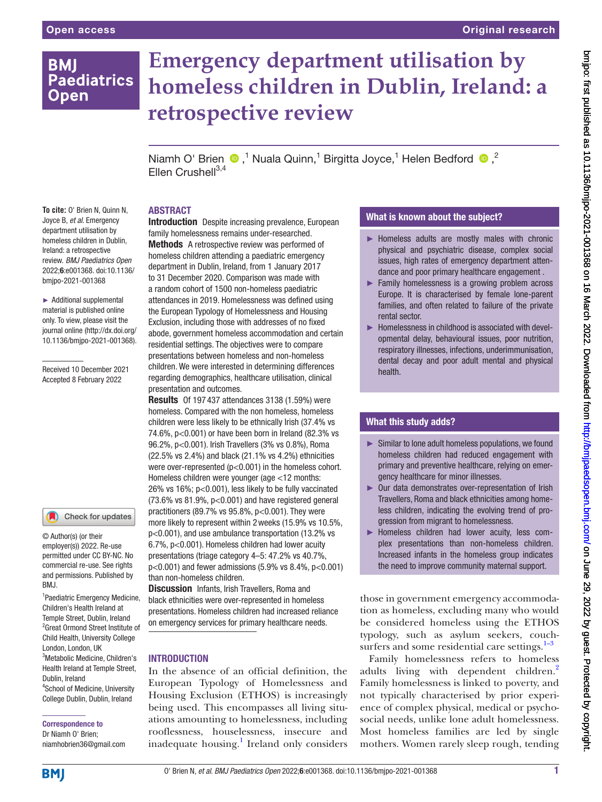# **BMI Paediatrics Open**

# **Emergency department utilisation by homeless children in Dublin, Ireland: a retrospective review**

Niamh O' Brien  $\bigcirc$ ,<sup>1</sup> Nuala Quinn,<sup>1</sup> Birgitta Joyce,<sup>1</sup> Helen Bedford  $\bigcirc$ ,<sup>2</sup> Ellen Crushell $^{3,4}$ 

### ABSTRACT

**To cite:** O' Brien N, Quinn N, Joyce B, *et al*. Emergency department utilisation by homeless children in Dublin, Ireland: a retrospective review. *BMJ Paediatrics Open* 2022;6:e001368. doi:10.1136/ bmjpo-2021-001368

► Additional supplemental material is published online only. To view, please visit the journal online ([http://dx.doi.org/](http://dx.doi.org/10.1136/bmjpo-2021-001368) [10.1136/bmjpo-2021-001368\)](http://dx.doi.org/10.1136/bmjpo-2021-001368).

Received 10 December 2021 Accepted 8 February 2022

#### Check for updates

© Author(s) (or their employer(s)) 2022. Re-use permitted under CC BY-NC. No commercial re-use. See rights and permissions. Published by BMJ.

1 Paediatric Emergency Medicine, Children's Health Ireland at Temple Street, Dublin, Ireland 2 Great Ormond Street Institute of Child Health, University College London, London, UK 3 Metabolic Medicine, Children's Health Ireland at Temple Street, Dublin, Ireland 4 School of Medicine, University College Dublin, Dublin, Ireland

Correspondence to

Dr Niamh O' Brien; niamhobrien36@gmail.com **Introduction** Despite increasing prevalence, European family homelessness remains under-researched. Methods A retrospective review was performed of homeless children attending a paediatric emergency department in Dublin, Ireland, from 1 January 2017 to 31 December 2020. Comparison was made with a random cohort of 1500 non-homeless paediatric attendances in 2019. Homelessness was defined using the European Typology of Homelessness and Housing Exclusion, including those with addresses of no fixed abode, government homeless accommodation and certain residential settings. The objectives were to compare presentations between homeless and non-homeless children. We were interested in determining differences regarding demographics, healthcare utilisation, clinical presentation and outcomes.

Results Of 197 437 attendances 3138 (1.59%) were homeless. Compared with the non homeless, homeless children were less likely to be ethnically Irish (37.4% vs 74.6%, p<0.001) or have been born in Ireland (82.3% vs 96.2%, p<0.001). Irish Travellers (3% vs 0.8%), Roma (22.5% vs 2.4%) and black (21.1% vs 4.2%) ethnicities were over-represented (p<0.001) in the homeless cohort. Homeless children were younger (age <12 months: 26% vs 16%; p<0.001), less likely to be fully vaccinated  $(73.6\%$  vs  $81.9\%$ ,  $p<0.001$ ) and have registered general practitioners (89.7% vs 95.8%, p<0.001). They were more likely to represent within 2weeks (15.9% vs 10.5%, p<0.001), and use ambulance transportation (13.2% vs 6.7%, p<0.001). Homeless children had lower acuity presentations (triage category 4–5: 47.2% vs 40.7%, p<0.001) and fewer admissions (5.9% vs 8.4%, p<0.001) than non-homeless children.

**Discussion** Infants, Irish Travellers, Roma and black ethnicities were over-represented in homeless presentations. Homeless children had increased reliance on emergency services for primary healthcare needs.

#### **INTRODUCTION**

In the absence of an official definition, the European Typology of Homelessness and Housing Exclusion (ETHOS) is increasingly being used. This encompasses all living situations amounting to homelessness, including rooflessness, houselessness, insecure and inadequate housing.<sup>1</sup> Ireland only considers

# What is known about the subject?

- ► Homeless adults are mostly males with chronic physical and psychiatric disease, complex social issues, high rates of emergency department attendance and poor primary healthcare engagement .
- ► Family homelessness is a growing problem across Europe. It is characterised by female lone-parent families, and often related to failure of the private rental sector.
- ► Homelessness in childhood is associated with developmental delay, behavioural issues, poor nutrition, respiratory illnesses, infections, underimmunisation, dental decay and poor adult mental and physical health.

## What this study adds?

- ► Similar to lone adult homeless populations, we found homeless children had reduced engagement with primary and preventive healthcare, relying on emergency healthcare for minor illnesses.
- ► Our data demonstrates over-representation of Irish Travellers, Roma and black ethnicities among homeless children, indicating the evolving trend of progression from migrant to homelessness.
- ► Homeless children had lower acuity, less complex presentations than non-homeless children. Increased infants in the homeless group indicates the need to improve community maternal support.

those in government emergency accommodation as homeless, excluding many who would be considered homeless using the ETHOS typology, such as asylum seekers, couchsurfers and some residential care settings.<sup>1-3</sup>

Family homelessness refers to homeless adults living with dependent children.<sup>[2](#page-6-1)</sup> Family homelessness is linked to poverty, and not typically characterised by prior experience of complex physical, medical or psychosocial needs, unlike lone adult homelessness. Most homeless families are led by single mothers. Women rarely sleep rough, tending

**BMJ**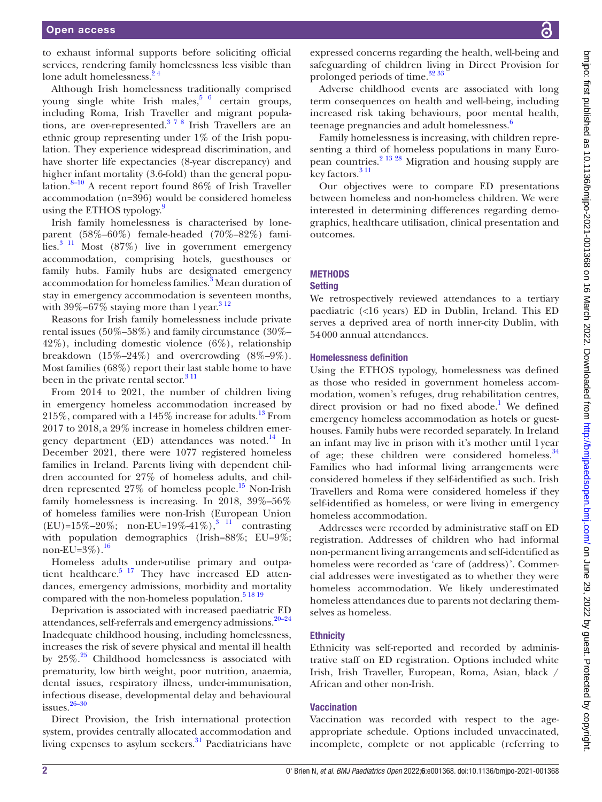to exhaust informal supports before soliciting official services, rendering family homelessness less visible than lone adult homelessness.<sup>24</sup>

Although Irish homelessness traditionally comprised young single white Irish males,  $6 \text{ certain groups}$ , including Roma, Irish Traveller and migrant populations, are over-represented[.3 7 8](#page-6-3) Irish Travellers are an ethnic group representing under 1% of the Irish population. They experience widespread discrimination, and have shorter life expectancies (8-year discrepancy) and higher infant mortality (3.6-fold) than the general popu-lation.<sup>[8–10](#page-6-4)</sup> A recent report found 86% of Irish Traveller accommodation (n=396) would be considered homeless using the ETHOS typology.<sup>[9](#page-6-5)</sup>

Irish family homelessness is characterised by loneparent (58%–60%) female-headed (70%–82%) families. $3 \text{ } 11$  Most (87%) live in government emergency accommodation, comprising hotels, guesthouses or family hubs. Family hubs are designated emergency accommodation for homeless families.<sup>[3](#page-6-3)</sup> Mean duration of stay in emergency accommodation is seventeen months, with 39%–67% staying more than  $1$  year. $^{3\,12}$ 

Reasons for Irish family homelessness include private rental issues (50%–58%) and family circumstance (30%–  $42\%$ ), including domestic violence  $(6\%)$ , relationship breakdown  $(15\%-24\%)$  and overcrowding  $(8\%-9\%)$ . Most families (68%) report their last stable home to have been in the private rental sector.<sup>311</sup>

From 2014 to 2021, the number of children living in emergency homeless accommodation increased by 215%, compared with a 145% increase for adults.<sup>13</sup> From 2017 to 2018, a 29% increase in homeless children emergency department (ED) attendances was noted.<sup>14</sup> In December 2021, there were 1077 registered homeless families in Ireland. Parents living with dependent children accounted for 27% of homeless adults, and children represented  $27\%$  of homeless people.<sup>15</sup> Non-Irish family homelessness is increasing. In 2018, 39%–56% of homeless families were non-Irish (European Union  $(EU)=15\% - 20\%;$  non-EU=19%-41%),<sup>3</sup><sup>11</sup> contrasting with population demographics (Irish=88%; EU=9%; non-EU= $3\%$ ).<sup>[16](#page-7-3)</sup>

Homeless adults under-utilise primary and outpatient healthcare.<sup>5 17</sup> They have increased ED attendances, emergency admissions, morbidity and mortality compared with the non-homeless population. $51819$ 

Deprivation is associated with increased paediatric ED attendances, self-referrals and emergency admissions.[20–24](#page-7-4) Inadequate childhood housing, including homelessness, increases the risk of severe physical and mental ill health by  $25\%$  $25\%$ .<sup>25</sup> Childhood homelessness is associated with prematurity, low birth weight, poor nutrition, anaemia, dental issues, respiratory illness, under-immunisation, infectious disease, developmental delay and behavioural issues.[26–30](#page-7-6)

Direct Provision, the Irish international protection system, provides centrally allocated accommodation and living expenses to asylum seekers.<sup>31</sup> Paediatricians have

expressed concerns regarding the health, well-being and safeguarding of children living in Direct Provision for prolonged periods of time. $3233$ 

Adverse childhood events are associated with long term consequences on health and well-being, including increased risk taking behaviours, poor mental health, teenage pregnancies and adult homelessness.<sup>6</sup>

Family homelessness is increasing, with children representing a third of homeless populations in many European countries[.2 13 28](#page-6-1) Migration and housing supply are key factors.[3 11](#page-6-3)

Our objectives were to compare ED presentations between homeless and non-homeless children. We were interested in determining differences regarding demographics, healthcare utilisation, clinical presentation and outcomes.

# **METHODS**

# **Setting**

We retrospectively reviewed attendances to a tertiary paediatric (<16 years) ED in Dublin, Ireland. This ED serves a deprived area of north inner-city Dublin, with 54000 annual attendances.

#### Homelessness definition

Using the ETHOS typology, homelessness was defined as those who resided in government homeless accommodation, women's refuges, drug rehabilitation centres, direct provision or had no fixed abode.<sup>[1](#page-6-0)</sup> We defined emergency homeless accommodation as hotels or guesthouses. Family hubs were recorded separately. In Ireland an infant may live in prison with it's mother until 1year of age; these children were considered homeless.<sup>[34](#page-7-9)</sup> Families who had informal living arrangements were considered homeless if they self-identified as such. Irish Travellers and Roma were considered homeless if they self-identified as homeless, or were living in emergency homeless accommodation.

Addresses were recorded by administrative staff on ED registration. Addresses of children who had informal non-permanent living arrangements and self-identified as homeless were recorded as 'care of (address)'. Commercial addresses were investigated as to whether they were homeless accommodation. We likely underestimated homeless attendances due to parents not declaring themselves as homeless.

#### **Ethnicity**

Ethnicity was self-reported and recorded by administrative staff on ED registration. Options included white Irish, Irish Traveller, European, Roma, Asian, black / African and other non-Irish.

#### **Vaccination**

Vaccination was recorded with respect to the ageappropriate schedule. Options included unvaccinated, incomplete, complete or not applicable (referring to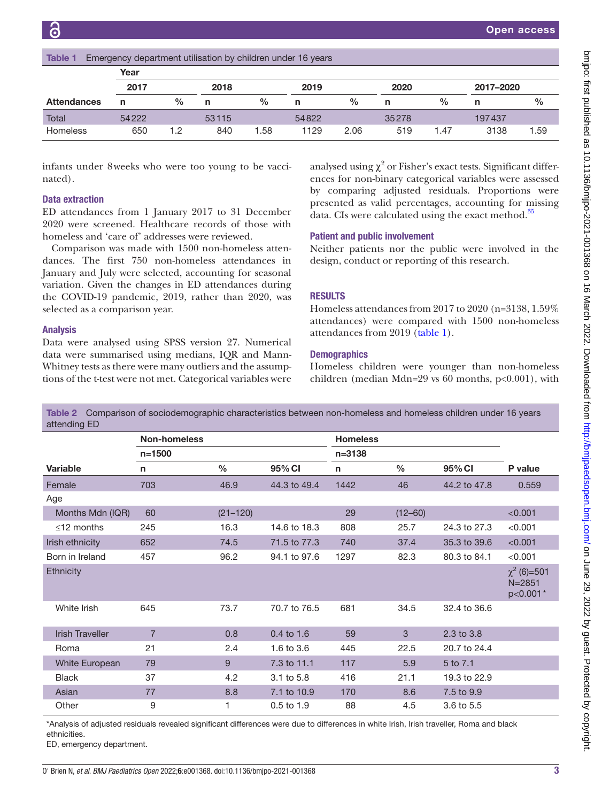<span id="page-2-0"></span>

| <b>Table 1</b><br>Emergency department utilisation by children under 16 years |       |               |       |               |       |               |       |               |           |               |  |
|-------------------------------------------------------------------------------|-------|---------------|-------|---------------|-------|---------------|-------|---------------|-----------|---------------|--|
|                                                                               | Year  |               |       |               |       |               |       |               |           |               |  |
| 2017                                                                          |       |               | 2018  |               | 2019  |               | 2020  |               | 2017-2020 |               |  |
| <b>Attendances</b>                                                            | n     | $\frac{0}{0}$ | n     | $\frac{0}{0}$ | n     | $\frac{0}{0}$ | n     | $\frac{0}{0}$ | n         | $\frac{0}{0}$ |  |
| Total                                                                         | 54222 |               | 53115 |               | 54822 |               | 35278 |               | 197437    |               |  |
| Homeless                                                                      | 650   | 1.2           | 840   | 1.58          | 1129  | 2.06          | 519   | 1.47          | 3138      | 1.59          |  |
|                                                                               |       |               |       |               |       |               |       |               |           |               |  |

infants under 8weeks who were too young to be vaccinated).

#### Data extraction

ED attendances from 1 January 2017 to 31 December 2020 were screened. Healthcare records of those with homeless and 'care of' addresses were reviewed.

Comparison was made with 1500 non-homeless attendances. The first 750 non-homeless attendances in January and July were selected, accounting for seasonal variation. Given the changes in ED attendances during the COVID-19 pandemic, 2019, rather than 2020, was selected as a comparison year.

#### Analysis

Data were analysed using SPSS version 27. Numerical data were summarised using medians, IQR and Mann-Whitney tests as there were many outliers and the assumptions of the t-test were not met. Categorical variables were

analysed using  $\chi^2$  or Fisher's exact tests. Significant differences for non-binary categorical variables were assessed by comparing adjusted residuals. Proportions were presented as valid percentages, accounting for missing data. CIs were calculated using the exact method.<sup>[35](#page-7-10)</sup>

#### Patient and public involvement

Neither patients nor the public were involved in the design, conduct or reporting of this research.

#### RESULTS

Homeless attendances from 2017 to 2020 (n=3138, 1.59% attendances) were compared with 1500 non-homeless attendances from 2019 [\(table](#page-2-0) 1).

#### **Demographics**

Homeless children were younger than non-homeless children (median Mdn=29 vs 60 months, p<0.001), with

<span id="page-2-1"></span>Table 2 Comparison of sociodemographic characteristics between non-homeless and homeless children under 16 years attending ED

|                        | <b>Non-homeless</b> |               |                | <b>Homeless</b> |               |              |                                            |
|------------------------|---------------------|---------------|----------------|-----------------|---------------|--------------|--------------------------------------------|
|                        | $n = 1500$          |               |                | $n = 3138$      |               |              |                                            |
| <b>Variable</b>        | n                   | $\frac{0}{0}$ | 95% CI         | $\mathsf{n}$    | $\frac{0}{0}$ | 95% CI       | P value                                    |
| Female                 | 703                 | 46.9          | 44.3 to 49.4   | 1442            | 46            | 44.2 to 47.8 | 0.559                                      |
| Age                    |                     |               |                |                 |               |              |                                            |
| Months Mdn (IQR)       | 60                  | $(21 - 120)$  |                | 29              | $(12 - 60)$   |              | < 0.001                                    |
| $\leq$ 12 months       | 245                 | 16.3          | 14.6 to 18.3   | 808             | 25.7          | 24.3 to 27.3 | < 0.001                                    |
| Irish ethnicity        | 652                 | 74.5          | 71.5 to 77.3   | 740             | 37.4          | 35.3 to 39.6 | < 0.001                                    |
| Born in Ireland        | 457                 | 96.2          | 94.1 to 97.6   | 1297            | 82.3          | 80.3 to 84.1 | < 0.001                                    |
| Ethnicity              |                     |               |                |                 |               |              | $\chi^2$ (6)=501<br>$N = 2851$<br>p<0.001* |
| White Irish            | 645                 | 73.7          | 70.7 to 76.5   | 681             | 34.5          | 32.4 to 36.6 |                                            |
| <b>Irish Traveller</b> | $\overline{7}$      | 0.8           | 0.4 to 1.6     | 59              | 3             | 2.3 to 3.8   |                                            |
| Roma                   | 21                  | 2.4           | 1.6 to 3.6     | 445             | 22.5          | 20.7 to 24.4 |                                            |
| White European         | 79                  | 9             | 7.3 to 11.1    | 117             | 5.9           | 5 to 7.1     |                                            |
| <b>Black</b>           | 37                  | 4.2           | 3.1 to 5.8     | 416             | 21.1          | 19.3 to 22.9 |                                            |
| Asian                  | 77                  | 8.8           | 7.1 to 10.9    | 170             | 8.6           | 7.5 to 9.9   |                                            |
| Other                  | 9                   | 1             | $0.5$ to $1.9$ | 88              | 4.5           | 3.6 to 5.5   |                                            |

\*Analysis of adjusted residuals revealed significant differences were due to differences in white Irish, Irish traveller, Roma and black ethnicities.

ED, emergency department.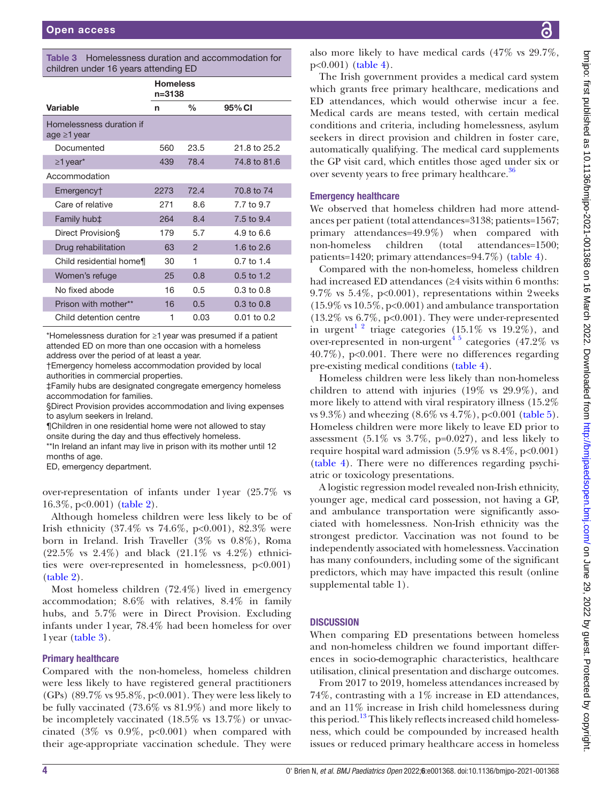| children under 16 years attending ED          |                           |               |                       |  |  |  |  |  |  |
|-----------------------------------------------|---------------------------|---------------|-----------------------|--|--|--|--|--|--|
|                                               | <b>Homeless</b><br>n=3138 |               |                       |  |  |  |  |  |  |
| Variable                                      | n                         | $\frac{0}{0}$ | 95% CI                |  |  |  |  |  |  |
| Homelessness duration if<br>age $\geq$ 1 year |                           |               |                       |  |  |  |  |  |  |
| Documented                                    | 560                       | 23.5          | 21.8 to 25.2          |  |  |  |  |  |  |
| $\geq$ 1 year*                                | 439                       | 78.4          | 74.8 to 81.6          |  |  |  |  |  |  |
| Accommodation                                 |                           |               |                       |  |  |  |  |  |  |
| Emergency†                                    | 2273                      | 72.4          | 70.8 to 74            |  |  |  |  |  |  |
| Care of relative                              | 271                       | 8.6           | 7.7 to 9.7            |  |  |  |  |  |  |
| Family hub‡                                   | 264                       | 8.4           | 7.5 to 9.4            |  |  |  |  |  |  |
| Direct Provision§                             | 179                       | 5.7           | 4.9 <sub>to</sub> 6.6 |  |  |  |  |  |  |
| Drug rehabilitation                           | 63                        | $\mathcal{P}$ | 1.6 to 2.6            |  |  |  |  |  |  |
| Child residential home¶                       | 30                        | 1             | $0.7$ to 1.4          |  |  |  |  |  |  |
| Women's refuge                                | 25                        | 0.8           | $0.5$ to 1.2          |  |  |  |  |  |  |
| No fixed abode                                | 16                        | 0.5           | $0.3 \text{ to } 0.8$ |  |  |  |  |  |  |
| Prison with mother**                          | 16                        | 0.5           | $0.3$ to $0.8$        |  |  |  |  |  |  |
| Child detention centre                        | 1                         | 0.03          | $0.01$ to $0.2$       |  |  |  |  |  |  |

<span id="page-3-0"></span>Table 3 Homelessness duration and accommodation for

\*Homelessness duration for ≥1year was presumed if a patient attended ED on more than one occasion with a homeless address over the period of at least a year.

†Emergency homeless accommodation provided by local authorities in commercial properties.

‡Family hubs are designated congregate emergency homeless accommodation for families.

§Direct Provision provides accommodation and living expenses to asylum seekers in Ireland.

¶Children in one residential home were not allowed to stay onsite during the day and thus effectively homeless.

\*\*In Ireland an infant may live in prison with its mother until 12 months of age.

ED, emergency department.

over-representation of infants under 1year (25.7% vs 16.3%, p<0.001) [\(table](#page-2-1) 2).

Although homeless children were less likely to be of Irish ethnicity (37.4% vs 74.6%, p<0.001), 82.3% were born in Ireland. Irish Traveller (3% vs 0.8%), Roma (22.5% vs 2.4%) and black (21.1% vs 4.2%) ethnicities were over-represented in homelessness, p<0.001) [\(table](#page-2-1) 2).

Most homeless children (72.4%) lived in emergency accommodation; 8.6% with relatives, 8.4% in family hubs, and 5.7% were in Direct Provision. Excluding infants under 1year, 78.4% had been homeless for over 1year [\(table](#page-3-0) 3).

#### Primary healthcare

Compared with the non-homeless, homeless children were less likely to have registered general practitioners (GPs) (89.7% vs 95.8%, p<0.001). They were less likely to be fully vaccinated (73.6% vs 81.9%) and more likely to be incompletely vaccinated (18.5% vs 13.7%) or unvaccinated (3% vs  $0.9\%$ , p<0.001) when compared with their age-appropriate vaccination schedule. They were

also more likely to have medical cards (47% vs 29.7%, p<0.001) ([table](#page-4-0) 4).

The Irish government provides a medical card system which grants free primary healthcare, medications and ED attendances, which would otherwise incur a fee. Medical cards are means tested, with certain medical conditions and criteria, including homelessness, asylum seekers in direct provision and children in foster care, automatically qualifying. The medical card supplements the GP visit card, which entitles those aged under six or over seventy years to free primary healthcare.<sup>36</sup>

#### Emergency healthcare

We observed that homeless children had more attendances per patient (total attendances=3138; patients=1567; primary attendances=49.9%) when compared with non-homeless children (total attendances=1500; patients=1420; primary attendances=94.7%) [\(table](#page-4-0) 4).

Compared with the non-homeless, homeless children had increased ED attendances (≥4 visits within 6 months: 9.7% vs 5.4%, p<0.001), representations within 2weeks (15.9% vs 10.5%, p<0.001) and ambulance transportation  $(13.2\% \text{ vs } 6.7\%, \text{ p<0.001}).$  They were under-represented in urgent<sup>[1 2](#page-6-0)</sup> triage categories (15.1% vs 19.2%), and over-represented in non-urgent<sup>45</sup> categories (47.2% vs  $40.7\%$ ), p<0.001. There were no differences regarding pre-existing medical conditions [\(table](#page-4-0) 4).

Homeless children were less likely than non-homeless children to attend with injuries (19% vs 29.9%), and more likely to attend with viral respiratory illness (15.2% vs 9.3%) and wheezing (8.6% vs 4.7%), p<0.001 ([table](#page-5-0) 5). Homeless children were more likely to leave ED prior to assessment  $(5.1\% \text{ vs } 3.7\%, \text{ p=0.027})$ , and less likely to require hospital ward admission  $(5.9\% \text{ vs } 8.4\%, \text{ p} < 0.001)$ [\(table](#page-4-0) 4). There were no differences regarding psychiatric or toxicology presentations.

A logistic regression model revealed non-Irish ethnicity, younger age, medical card possession, not having a GP, and ambulance transportation were significantly associated with homelessness. Non-Irish ethnicity was the strongest predictor. Vaccination was not found to be independently associated with homelessness. Vaccination has many confounders, including some of the significant predictors, which may have impacted this result [\(online](https://dx.doi.org/10.1136/bmjpo-2021-001368) [supplemental table 1\)](https://dx.doi.org/10.1136/bmjpo-2021-001368).

#### **DISCUSSION**

When comparing ED presentations between homeless and non-homeless children we found important differences in socio-demographic characteristics, healthcare utilisation, clinical presentation and discharge outcomes.

From 2017 to 2019, homeless attendances increased by 74%, contrasting with a 1% increase in ED attendances, and an 11% increase in Irish child homelessness during this period.<sup>13</sup> This likely reflects increased child homelessness, which could be compounded by increased health issues or reduced primary healthcare access in homeless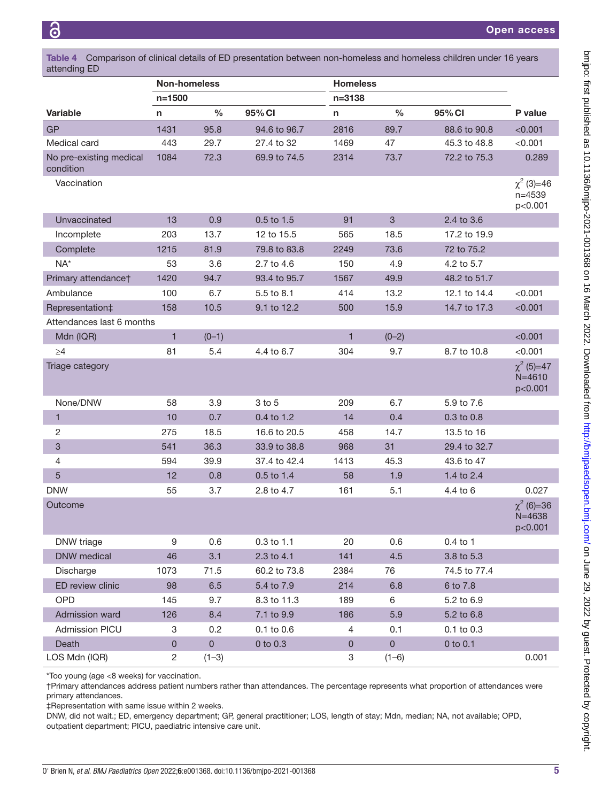<span id="page-4-0"></span>

|                                      | <b>Non-homeless</b> |                |              | <b>Homeless</b> |                     |              |                                          |
|--------------------------------------|---------------------|----------------|--------------|-----------------|---------------------|--------------|------------------------------------------|
|                                      | $n = 1500$          |                |              | $n = 3138$      |                     |              |                                          |
| <b>Variable</b>                      | n                   | $\frac{0}{0}$  | 95% CI       | n               | $\frac{0}{0}$       | 95% CI       | P value                                  |
| <b>GP</b>                            | 1431                | 95.8           | 94.6 to 96.7 | 2816            | 89.7                | 88.6 to 90.8 | < 0.001                                  |
| Medical card                         | 443                 | 29.7           | 27.4 to 32   | 1469            | 47                  | 45.3 to 48.8 | < 0.001                                  |
| No pre-existing medical<br>condition | 1084                | 72.3           | 69.9 to 74.5 | 2314            | 73.7                | 72.2 to 75.3 | 0.289                                    |
| Vaccination                          |                     |                |              |                 |                     |              | $\chi^2$ (3)=46<br>$n = 4539$<br>p<0.001 |
| Unvaccinated                         | 13                  | 0.9            | 0.5 to 1.5   | 91              | 3                   | 2.4 to 3.6   |                                          |
| Incomplete                           | 203                 | 13.7           | 12 to 15.5   | 565             | 18.5                | 17.2 to 19.9 |                                          |
| Complete                             | 1215                | 81.9           | 79.8 to 83.8 | 2249            | 73.6                | 72 to 75.2   |                                          |
| NA*                                  | 53                  | 3.6            | 2.7 to 4.6   | 150             | 4.9                 | 4.2 to 5.7   |                                          |
| Primary attendance†                  | 1420                | 94.7           | 93.4 to 95.7 | 1567            | 49.9                | 48.2 to 51.7 |                                          |
| Ambulance                            | 100                 | 6.7            | 5.5 to 8.1   | 414             | 13.2                | 12.1 to 14.4 | < 0.001                                  |
| Representation‡                      | 158                 | 10.5           | 9.1 to 12.2  | 500             | 15.9                | 14.7 to 17.3 | < 0.001                                  |
| Attendances last 6 months            |                     |                |              |                 |                     |              |                                          |
| Mdn (IQR)                            | $\mathbf{1}$        | $(0-1)$        |              | $\mathbf{1}$    | $(0-2)$             |              | < 0.001                                  |
| $\geq 4$                             | 81                  | 5.4            | 4.4 to 6.7   | 304             | 9.7                 | 8.7 to 10.8  | < 0.001                                  |
| Triage category                      |                     |                |              |                 |                     |              | $\chi^2$ (5)=47<br>$N = 4610$<br>p<0.001 |
| None/DNW                             | 58                  | 3.9            | 3 to 5       | 209             | 6.7                 | 5.9 to 7.6   |                                          |
| 1                                    | 10                  | 0.7            | 0.4 to 1.2   | 14              | 0.4                 | 0.3 to 0.8   |                                          |
| 2                                    | 275                 | 18.5           | 16.6 to 20.5 | 458             | 14.7                | 13.5 to 16   |                                          |
| 3                                    | 541                 | 36.3           | 33.9 to 38.8 | 968             | 31                  | 29.4 to 32.7 |                                          |
| 4                                    | 594                 | 39.9           | 37.4 to 42.4 | 1413            | 45.3                | 43.6 to 47   |                                          |
| 5                                    | 12                  | 0.8            | 0.5 to 1.4   | 58              | 1.9                 | 1.4 to 2.4   |                                          |
| <b>DNW</b>                           | 55                  | 3.7            | 2.8 to 4.7   | 161             | 5.1                 | 4.4 to 6     | 0.027                                    |
| Outcome                              |                     |                |              |                 |                     |              | $\chi^2$ (6)=36<br>$N = 4638$<br>p<0.001 |
| DNW triage                           | 9                   | 0.6            | 0.3 to 1.1   | 20              | 0.6                 | $0.4$ to 1   |                                          |
| DNW medical                          | 46                  | 3.1            | 2.3 to 4.1   | 141             | 4.5                 | 3.8 to 5.3   |                                          |
| Discharge                            | 1073                | 71.5           | 60.2 to 73.8 | 2384            | 76                  | 74.5 to 77.4 |                                          |
| ED review clinic                     | 98                  | 6.5            | 5.4 to 7.9   | 214             | 6.8                 | 6 to 7.8     |                                          |
| <b>OPD</b>                           | 145                 | 9.7            | 8.3 to 11.3  | 189             | 6                   | 5.2 to 6.9   |                                          |
| Admission ward                       | 126                 | 8.4            | 7.1 to 9.9   | 186             | 5.9                 | 5.2 to 6.8   |                                          |
| <b>Admission PICU</b>                | 3                   | 0.2            | 0.1 to 0.6   | 4               | 0.1                 | 0.1 to 0.3   |                                          |
| Death                                | $\mathbf 0$         | $\overline{0}$ | 0 to 0.3     | $\mathbf 0$     | $\mathsf{O}\xspace$ | 0 to 0.1     |                                          |

\*Too young (age <8 weeks) for vaccination.

†Primary attendances address patient numbers rather than attendances. The percentage represents what proportion of attendances were primary attendances.

LOS Mdn (IQR) 2 (1–3) 3 (1–6) 0.001

‡Representation with same issue within 2 weeks.

DNW, did not wait.; ED, emergency department; GP, general practitioner; LOS, length of stay; Mdn, median; NA, not available; OPD, outpatient department; PICU, paediatric intensive care unit.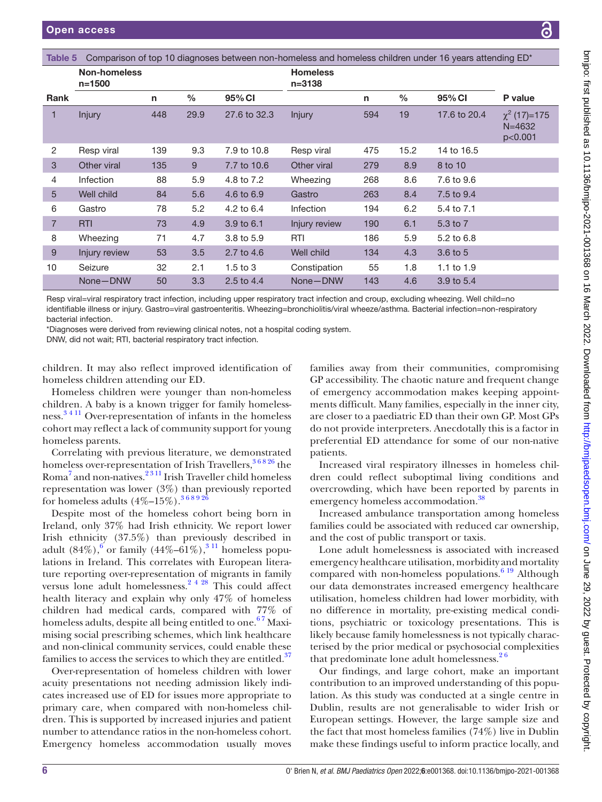<span id="page-5-0"></span>

| Comparison of top 10 diagnoses between non-homeless and homeless children under 16 years attending ED*<br>Table 5<br><b>Non-homeless</b><br><b>Homeless</b> |                                                                                                                                                                                                                                                                                                                                                                                                                                                                           |     |      |              |               |     |      |                                                                                                                                                                                                                                 |                                            |
|-------------------------------------------------------------------------------------------------------------------------------------------------------------|---------------------------------------------------------------------------------------------------------------------------------------------------------------------------------------------------------------------------------------------------------------------------------------------------------------------------------------------------------------------------------------------------------------------------------------------------------------------------|-----|------|--------------|---------------|-----|------|---------------------------------------------------------------------------------------------------------------------------------------------------------------------------------------------------------------------------------|--------------------------------------------|
|                                                                                                                                                             | $n = 1500$                                                                                                                                                                                                                                                                                                                                                                                                                                                                |     |      |              | $n = 3138$    |     |      |                                                                                                                                                                                                                                 |                                            |
| Rank                                                                                                                                                        |                                                                                                                                                                                                                                                                                                                                                                                                                                                                           | n   | $\%$ | 95% CI       |               | n   | $\%$ | 95% CI                                                                                                                                                                                                                          | P value                                    |
| $\mathbf{1}$                                                                                                                                                | <b>Injury</b>                                                                                                                                                                                                                                                                                                                                                                                                                                                             | 448 | 29.9 | 27.6 to 32.3 | Injury        | 594 | 19   | 17.6 to 20.4                                                                                                                                                                                                                    | $\chi^2$ (17)=175<br>$N = 4632$<br>p<0.001 |
| $\overline{2}$                                                                                                                                              | Resp viral                                                                                                                                                                                                                                                                                                                                                                                                                                                                | 139 | 9.3  | 7.9 to 10.8  | Resp viral    | 475 | 15.2 | 14 to 16.5                                                                                                                                                                                                                      |                                            |
| 3                                                                                                                                                           | Other viral                                                                                                                                                                                                                                                                                                                                                                                                                                                               | 135 | 9    | 7.7 to 10.6  | Other viral   | 279 | 8.9  | 8 to 10                                                                                                                                                                                                                         |                                            |
| 4                                                                                                                                                           | <b>Infection</b>                                                                                                                                                                                                                                                                                                                                                                                                                                                          | 88  | 5.9  | 4.8 to 7.2   | Wheezing      | 268 | 8.6  | 7.6 to 9.6                                                                                                                                                                                                                      |                                            |
| 5                                                                                                                                                           | Well child                                                                                                                                                                                                                                                                                                                                                                                                                                                                | 84  | 5.6  | 4.6 to 6.9   | Gastro        | 263 | 8.4  | 7.5 to 9.4                                                                                                                                                                                                                      |                                            |
| 6                                                                                                                                                           | Gastro                                                                                                                                                                                                                                                                                                                                                                                                                                                                    | 78  | 5.2  | 4.2 to 6.4   | Infection     | 194 | 6.2  | 5.4 to 7.1                                                                                                                                                                                                                      |                                            |
| $\overline{7}$                                                                                                                                              | <b>RTI</b>                                                                                                                                                                                                                                                                                                                                                                                                                                                                | 73  | 4.9  | 3.9 to 6.1   | Injury review | 190 | 6.1  | 5.3 to 7                                                                                                                                                                                                                        |                                            |
| 8                                                                                                                                                           | Wheezing                                                                                                                                                                                                                                                                                                                                                                                                                                                                  | 71  | 4.7  | 3.8 to 5.9   | <b>RTI</b>    | 186 | 5.9  | 5.2 to 6.8                                                                                                                                                                                                                      |                                            |
| 9                                                                                                                                                           | Injury review                                                                                                                                                                                                                                                                                                                                                                                                                                                             | 53  | 3.5  | 2.7 to 4.6   | Well child    | 134 | 4.3  | 3.6 to 5                                                                                                                                                                                                                        |                                            |
| 10                                                                                                                                                          | Seizure                                                                                                                                                                                                                                                                                                                                                                                                                                                                   | 32  | 2.1  | $1.5$ to $3$ | Constipation  | 55  | 1.8  | 1.1 to 1.9                                                                                                                                                                                                                      |                                            |
|                                                                                                                                                             | None-DNW                                                                                                                                                                                                                                                                                                                                                                                                                                                                  | 50  | 3.3  | 2.5 to 4.4   | None-DNW      | 143 | 4.6  | 3.9 to 5.4                                                                                                                                                                                                                      |                                            |
|                                                                                                                                                             | Resp viral=viral respiratory tract infection, including upper respiratory tract infection and croup, excluding wheezing. Well child=no<br>identifiable illness or injury. Gastro=viral gastroenteritis. Wheezing=bronchiolitis/viral wheeze/asthma. Bacterial infection=non-respiratory<br>bacterial infection.<br>*Diagnoses were derived from reviewing clinical notes, not a hospital coding system.<br>DNW, did not wait; RTI, bacterial respiratory tract infection. |     |      |              |               |     |      |                                                                                                                                                                                                                                 |                                            |
|                                                                                                                                                             | children. It may also reflect improved identification of<br>nomeless children attending our ED.<br>Homeless children were younger than non-homeless<br>children. A baby is a known trigger for family homeless-                                                                                                                                                                                                                                                           |     |      |              |               |     |      | families away from their communities, compromisin<br>GP accessibility. The chaotic nature and frequent changed<br>of emergency accommodation makes keeping appoin<br>ments difficult. Many families, especially in the inner ci |                                            |

Homeless children were younger than non-home children. A baby is a known trigger for family hor ness.<sup>3411</sup> Over-representation of infants in the homeless cohort may reflect a lack of community support for young homeless parents.

Correlating with previous literature, we demonstrated homeless over-representation of Irish Travellers,  $36826$  the Roma<sup>[7](#page-6-8)</sup> and non-natives.<sup>2311</sup> Irish Traveller child homeless representation was lower (3%) than previously reported for homeless adults  $(4\%-15\%)$ .<sup>368926</sup>

Despite most of the homeless cohort being born in Ireland, only 37% had Irish ethnicity. We report lower Irish ethnicity (37.5%) than previously described in adult  $(84\%)$ , or family  $(44\% - 61\%)$  $(44\% - 61\%)$  $(44\% - 61\%)$ ,  $3^{11}$  homeless populations in Ireland. This correlates with European literature reporting over-representation of migrants in family versus lone adult homelessness.[2 4 28](#page-6-1) This could affect health literacy and explain why only 47% of homeless children had medical cards, compared with 77% of homeless adults, despite all being entitled to one.<sup>67</sup> Maximising social prescribing schemes, which link healthcare and non-clinical community services, could enable these families to access the services to which they are entitled.<sup>[37](#page-7-12)</sup>

Over-representation of homeless children with lower acuity presentations not needing admission likely indicates increased use of ED for issues more appropriate to primary care, when compared with non-homeless children. This is supported by increased injuries and patient number to attendance ratios in the non-homeless cohort. Emergency homeless accommodation usually moves

omising change appointmer city, are closer to a paediatric ED than their own GP. Most GPs do not provide interpreters. Anecdotally this is a factor in preferential ED attendance for some of our non-native patients.

Increased viral respiratory illnesses in homeless children could reflect suboptimal living conditions and overcrowding, which have been reported by parents in emergency homeless accommodation.<sup>38</sup>

Increased ambulance transportation among homeless families could be associated with reduced car ownership, and the cost of public transport or taxis.

Lone adult homelessness is associated with increased emergency healthcare utilisation, morbidity and mortality compared with non-homeless populations. $6^{19}$  Although our data demonstrates increased emergency healthcare utilisation, homeless children had lower morbidity, with no difference in mortality, pre-existing medical conditions, psychiatric or toxicology presentations. This is likely because family homelessness is not typically characterised by the prior medical or psychosocial complexities that predominate lone adult homelessness. $26$ 

Our findings, and large cohort, make an important contribution to an improved understanding of this population. As this study was conducted at a single centre in Dublin, results are not generalisable to wider Irish or European settings. However, the large sample size and the fact that most homeless families (74%) live in Dublin make these findings useful to inform practice locally, and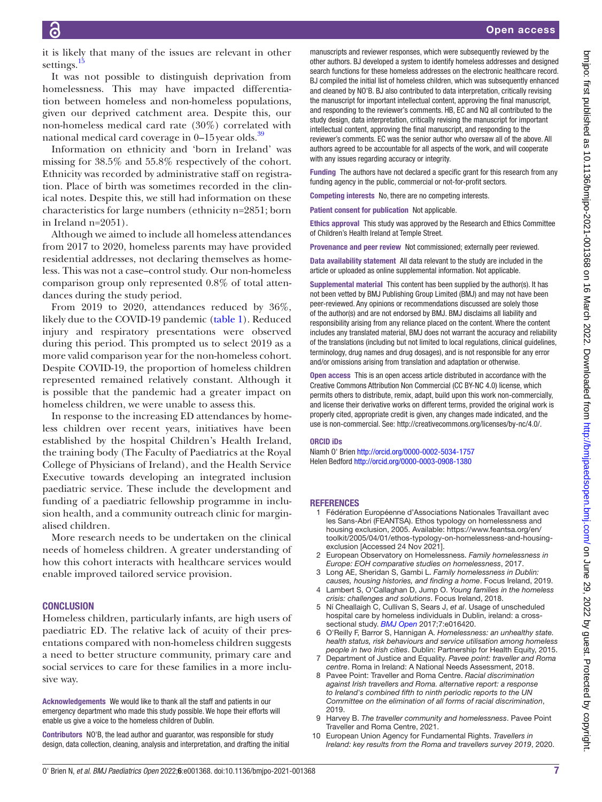it is likely that many of the issues are relevant in other settings.

It was not possible to distinguish deprivation from homelessness. This may have impacted differentiation between homeless and non-homeless populations, given our deprived catchment area. Despite this, our non-homeless medical card rate (30%) correlated with national medical card coverage in  $0-15$  year olds.<sup>[39](#page-7-14)</sup>

Information on ethnicity and 'born in Ireland' was missing for 38.5% and 55.8% respectively of the cohort. Ethnicity was recorded by administrative staff on registration. Place of birth was sometimes recorded in the clinical notes. Despite this, we still had information on these characteristics for large numbers (ethnicity n=2851; born in Ireland n=2051).

Although we aimed to include all homeless attendances from 2017 to 2020, homeless parents may have provided residential addresses, not declaring themselves as homeless. This was not a case–control study. Our non-homeless comparison group only represented 0.8% of total attendances during the study period.

From 2019 to 2020, attendances reduced by 36%, likely due to the COVID-19 pandemic [\(table](#page-2-0) 1). Reduced injury and respiratory presentations were observed during this period. This prompted us to select 2019 as a more valid comparison year for the non-homeless cohort. Despite COVID-19, the proportion of homeless children represented remained relatively constant. Although it is possible that the pandemic had a greater impact on homeless children, we were unable to assess this.

In response to the increasing ED attendances by homeless children over recent years, initiatives have been established by the hospital Children's Health Ireland, the training body (The Faculty of Paediatrics at the Royal College of Physicians of Ireland), and the Health Service Executive towards developing an integrated inclusion paediatric service. These include the development and funding of a paediatric fellowship programme in inclusion health, and a community outreach clinic for marginalised children.

More research needs to be undertaken on the clinical needs of homeless children. A greater understanding of how this cohort interacts with healthcare services would enable improved tailored service provision.

#### **CONCLUSION**

Homeless children, particularly infants, are high users of paediatric ED. The relative lack of acuity of their presentations compared with non-homeless children suggests a need to better structure community, primary care and social services to care for these families in a more inclusive way.

Acknowledgements We would like to thank all the staff and patients in our emergency department who made this study possible. We hope their efforts will enable us give a voice to the homeless children of Dublin.

Contributors NO'B, the lead author and guarantor, was responsible for study design, data collection, cleaning, analysis and interpretation, and drafting the initial

manuscripts and reviewer responses, which were subsequently reviewed by the other authors. BJ developed a system to identify homeless addresses and designed search functions for these homeless addresses on the electronic healthcare record. BJ compiled the initial list of homeless children, which was subsequently enhanced and cleaned by NO'B. BJ also contributed to data interpretation, critically revising the manuscript for important intellectual content, approving the final manuscript, and responding to the reviewer's comments. HB, EC and NQ all contributed to the study design, data interpretation, critically revising the manuscript for important intellectual content, approving the final manuscript, and responding to the reviewer's comments. EC was the senior author who oversaw all of the above. All authors agreed to be accountable for all aspects of the work, and will cooperate with any issues regarding accuracy or integrity.

Funding The authors have not declared a specific grant for this research from any funding agency in the public, commercial or not-for-profit sectors.

Competing interests No, there are no competing interests.

Patient consent for publication Not applicable.

Ethics approval This study was approved by the Research and Ethics Committee of Children's Health Ireland at Temple Street.

Provenance and peer review Not commissioned; externally peer reviewed.

Data availability statement All data relevant to the study are included in the article or uploaded as online supplemental information. Not applicable.

Supplemental material This content has been supplied by the author(s). It has not been vetted by BMJ Publishing Group Limited (BMJ) and may not have been peer-reviewed. Any opinions or recommendations discussed are solely those of the author(s) and are not endorsed by BMJ. BMJ disclaims all liability and responsibility arising from any reliance placed on the content. Where the content includes any translated material, BMJ does not warrant the accuracy and reliability of the translations (including but not limited to local regulations, clinical guidelines, terminology, drug names and drug dosages), and is not responsible for any error and/or omissions arising from translation and adaptation or otherwise.

Open access This is an open access article distributed in accordance with the Creative Commons Attribution Non Commercial (CC BY-NC 4.0) license, which permits others to distribute, remix, adapt, build upon this work non-commercially, and license their derivative works on different terms, provided the original work is properly cited, appropriate credit is given, any changes made indicated, and the use is non-commercial. See:<http://creativecommons.org/licenses/by-nc/4.0/>.

#### ORCID iDs

Niamh O' Brien <http://orcid.org/0000-0002-5034-1757> Helen Bedford <http://orcid.org/0000-0003-0908-1380>

#### REFERENCES

- <span id="page-6-0"></span>1 Fédération Européenne d'Associations Nationales Travaillant avec les Sans-Abri (FEANTSA). Ethos typology on homelessness and housing exclusion, 2005. Available: [https://www.feantsa.org/en/](https://www.feantsa.org/en/toolkit/2005/04/01/ethos-typology-on-homelessness-and-housing-exclusion) [toolkit/2005/04/01/ethos-typology-on-homelessness-and-housing](https://www.feantsa.org/en/toolkit/2005/04/01/ethos-typology-on-homelessness-and-housing-exclusion)[exclusion](https://www.feantsa.org/en/toolkit/2005/04/01/ethos-typology-on-homelessness-and-housing-exclusion) [Accessed 24 Nov 2021].
- <span id="page-6-1"></span>2 European Observatory on Homelessness. *Family homelessness in Europe: EOH comparative studies on homelessness*, 2017.
- <span id="page-6-3"></span>3 Long AE, Sheridan S, Gambi L. *Family homelessness in Dublin: causes, housing histories, and finding a home*. Focus Ireland, 2019.
- <span id="page-6-7"></span>4 Lambert S, O'Callaghan D, Jump O. *Young families in the homeless crisis: challenges and solutions*. Focus Ireland, 2018.
- <span id="page-6-2"></span>5 Ní Cheallaigh C, Cullivan S, Sears J, *et al*. Usage of unscheduled hospital care by homeless individuals in Dublin, ireland: a crosssectional study. *[BMJ Open](http://dx.doi.org/10.1136/bmjopen-2017-016420)* 2017;7:e016420.
- <span id="page-6-6"></span>6 O'Reilly F, Barror S, Hannigan A. *Homelessness: an unhealthy state. health status, risk behaviours and service utilisation among homeless people in two Irish cities*. Dublin: Partnership for Health Equity, 2015.
- <span id="page-6-8"></span>7 Department of Justice and Equality. *Pavee point: traveller and Roma centre*. Roma in Ireland: A National Needs Assessment, 2018.
- <span id="page-6-4"></span>8 Pavee Point: Traveller and Roma Centre. *Racial discrimination against Irish travellers and Roma. alternative report: a response to Ireland's combined fifth to ninth periodic reports to the UN Committee on the elimination of all forms of racial discrimination*, 2019.
- <span id="page-6-5"></span>9 Harvey B. *The traveller community and homelessness*. Pavee Point Traveller and Roma Centre, 2021.
- 10 European Union Agency for Fundamental Rights. *Travellers in Ireland: key results from the Roma and travellers survey 2019*, 2020.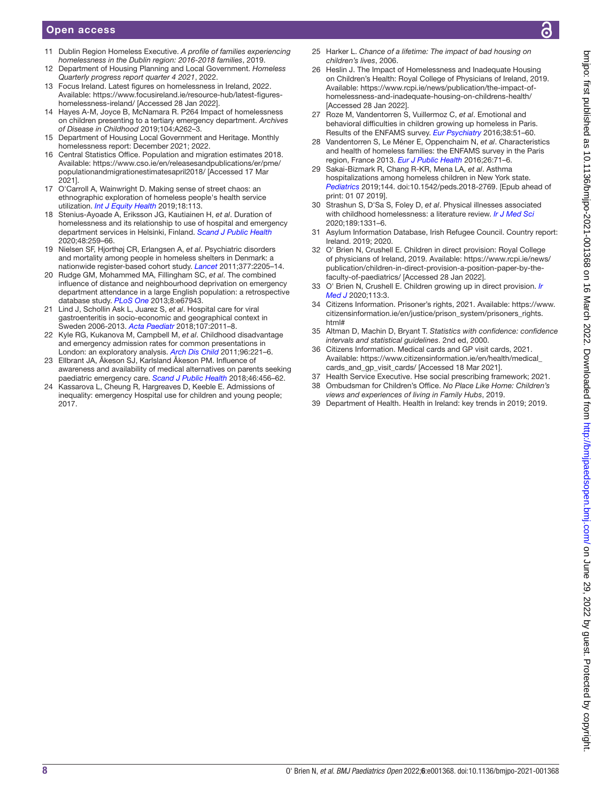- 11 Dublin Region Homeless Executive. *A profile of families experiencing homelessness in the Dublin region: 2016-2018 families*, 2019.
- 12 Department of Housing Planning and Local Government. *Homeless Quarterly progress report quarter 4 2021*, 2022.
- <span id="page-7-0"></span>13 Focus Ireland. Latest figures on homelessness in Ireland, 2022. Available: [https://www.focusireland.ie/resource-hub/latest-figures](https://www.focusireland.ie/resource-hub/latest-figures-homelessness-ireland/)[homelessness-ireland/](https://www.focusireland.ie/resource-hub/latest-figures-homelessness-ireland/) [Accessed 28 Jan 2022].
- <span id="page-7-1"></span>14 Hayes A-M, Joyce B, McNamara R. P264 Impact of homelessness on children presenting to a tertiary emergency department. *Archives of Disease in Childhood* 2019;104:A262–3.
- <span id="page-7-2"></span>15 Department of Housing Local Government and Heritage. Monthly homelessness report: December 2021; 2022.
- <span id="page-7-3"></span>16 Central Statistics Office. Population and migration estimates 2018. Available: [https://www.cso.ie/en/releasesandpublications/er/pme/](https://www.cso.ie/en/releasesandpublications/er/pme/populationandmigrationestimatesapril2018/) [populationandmigrationestimatesapril2018/](https://www.cso.ie/en/releasesandpublications/er/pme/populationandmigrationestimatesapril2018/) [Accessed 17 Mar 2021].
- 17 O'Carroll A, Wainwright D. Making sense of street chaos: an ethnographic exploration of homeless people's health service utilization. *[Int J Equity Health](http://dx.doi.org/10.1186/s12939-019-1002-6)* 2019;18:113.
- 18 Stenius-Ayoade A, Eriksson JG, Kautiainen H, *et al*. Duration of homelessness and its relationship to use of hospital and emergency department services in Helsinki, Finland. *[Scand J Public Health](http://dx.doi.org/10.1177/1403494819854008)* 2020;48:259–66.
- 19 Nielsen SF, Hjorthøj CR, Erlangsen A, *et al*. Psychiatric disorders and mortality among people in homeless shelters in Denmark: a nationwide register-based cohort study. *[Lancet](http://dx.doi.org/10.1016/S0140-6736(11)60747-2)* 2011;377:2205–14.
- <span id="page-7-4"></span>20 Rudge GM, Mohammed MA, Fillingham SC, *et al*. The combined influence of distance and neighbourhood deprivation on emergency department attendance in a large English population: a retrospective database study. *[PLoS One](http://dx.doi.org/10.1371/journal.pone.0067943)* 2013;8:e67943.
- 21 Lind J, Schollin Ask L, Juarez S, *et al*. Hospital care for viral gastroenteritis in socio-economic and geographical context in Sweden 2006-2013. *[Acta Paediatr](http://dx.doi.org/10.1111/apa.14429)* 2018;107:2011–8.
- 22 Kyle RG, Kukanova M, Campbell M, *et al*. Childhood disadvantage and emergency admission rates for common presentations in London: an exploratory analysis. *[Arch Dis Child](http://dx.doi.org/10.1136/adc.2009.180125)* 2011;96:221–6.
- 23 Ellbrant JA, Åkeson SJ, Karlsland Åkeson PM. Influence of awareness and availability of medical alternatives on parents seeking paediatric emergency care. *[Scand J Public Health](http://dx.doi.org/10.1177/1403494817735222)* 2018;46:456–62.
- 24 Kassarova L, Cheung R, Hargreaves D, Keeble E. Admissions of inequality: emergency Hospital use for children and young people; 2017.
- <span id="page-7-5"></span>25 Harker L. *Chance of a lifetime: The impact of bad housing on children's lives*, 2006.
- <span id="page-7-6"></span>26 Heslin J. The Impact of Homelessness and Inadequate Housing on Children's Health: Royal College of Physicians of Ireland, 2019. Available: [https://www.rcpi.ie/news/publication/the-impact-of](https://www.rcpi.ie/news/publication/the-impact-of-homelessness-and-inadequate-housing-on-childrens-health/)[homelessness-and-inadequate-housing-on-childrens-health/](https://www.rcpi.ie/news/publication/the-impact-of-homelessness-and-inadequate-housing-on-childrens-health/) [Accessed 28 Jan 2022].
- 27 Roze M, Vandentorren S, Vuillermoz C, *et al*. Emotional and behavioral difficulties in children growing up homeless in Paris. Results of the ENFAMS survey. *[Eur Psychiatry](http://dx.doi.org/10.1016/j.eurpsy.2016.05.001)* 2016;38:51–60.
- 28 Vandentorren S, Le Méner E, Oppenchaim N, *et al*. Characteristics and health of homeless families: the ENFAMS survey in the Paris region, France 2013. *[Eur J Public Health](http://dx.doi.org/10.1093/eurpub/ckv187)* 2016;26:71–6.
- 29 Sakai-Bizmark R, Chang R-KR, Mena LA, *et al*. Asthma hospitalizations among homeless children in New York state. *[Pediatrics](http://dx.doi.org/10.1542/peds.2018-2769)* 2019;144. doi:10.1542/peds.2018-2769. [Epub ahead of print: 01 07 2019].
- 30 Strashun S, D'Sa S, Foley D, *et al*. Physical illnesses associated with childhood homelessness: a literature review. *[Ir J Med Sci](http://dx.doi.org/10.1007/s11845-020-02233-3)* 2020;189:1331–6.
- <span id="page-7-7"></span>31 Asylum Information Database, Irish Refugee Council. Country report: Ireland. 2019; 2020.
- <span id="page-7-8"></span>32 O' Brien N, Crushell E. Children in direct provision: Royal College of physicians of Ireland, 2019. Available: [https://www.rcpi.ie/news/](https://www.rcpi.ie/news/publication/children-in-direct-provision-a-position-paper-by-the-faculty-of-paediatrics/) [publication/children-in-direct-provision-a-position-paper-by-the](https://www.rcpi.ie/news/publication/children-in-direct-provision-a-position-paper-by-the-faculty-of-paediatrics/)[faculty-of-paediatrics/](https://www.rcpi.ie/news/publication/children-in-direct-provision-a-position-paper-by-the-faculty-of-paediatrics/) [Accessed 28 Jan 2022].
- 33 O' Brien N, Crushell E. Children growing up in direct provision. *[Ir](http://www.ncbi.nlm.nih.gov/pubmed/32298557)  [Med J](http://www.ncbi.nlm.nih.gov/pubmed/32298557)* 2020;113:3.
- <span id="page-7-9"></span>34 Citizens Information. Prisoner's rights, 2021. Available: [https://www.](https://www.citizensinformation.ie/en/justice/prison_system/prisoners_rights.html#) [citizensinformation.ie/en/justice/prison\\_system/prisoners\\_rights.](https://www.citizensinformation.ie/en/justice/prison_system/prisoners_rights.html#) [html#](https://www.citizensinformation.ie/en/justice/prison_system/prisoners_rights.html#)
- <span id="page-7-10"></span>35 Altman D, Machin D, Bryant T. *Statistics with confidence: confidence intervals and statistical guidelines*. 2nd ed, 2000.
- <span id="page-7-11"></span>36 Citizens Information. Medical cards and GP visit cards, 2021. Available: [https://www.citizensinformation.ie/en/health/medical\\_](https://www.citizensinformation.ie/en/health/medical_cards_and_gp_visit_cards/) [cards\\_and\\_gp\\_visit\\_cards/](https://www.citizensinformation.ie/en/health/medical_cards_and_gp_visit_cards/) [Accessed 18 Mar 2021].
- <span id="page-7-13"></span><span id="page-7-12"></span>37 Health Service Executive. Hse social prescribing framework; 2021. 38 Ombudsman for Children's Office. *No Place Like Home: Children's*
- <span id="page-7-14"></span>*views and experiences of living in Family Hubs*, 2019. 39 Department of Health. Health in Ireland: key trends in 2019; 2019.